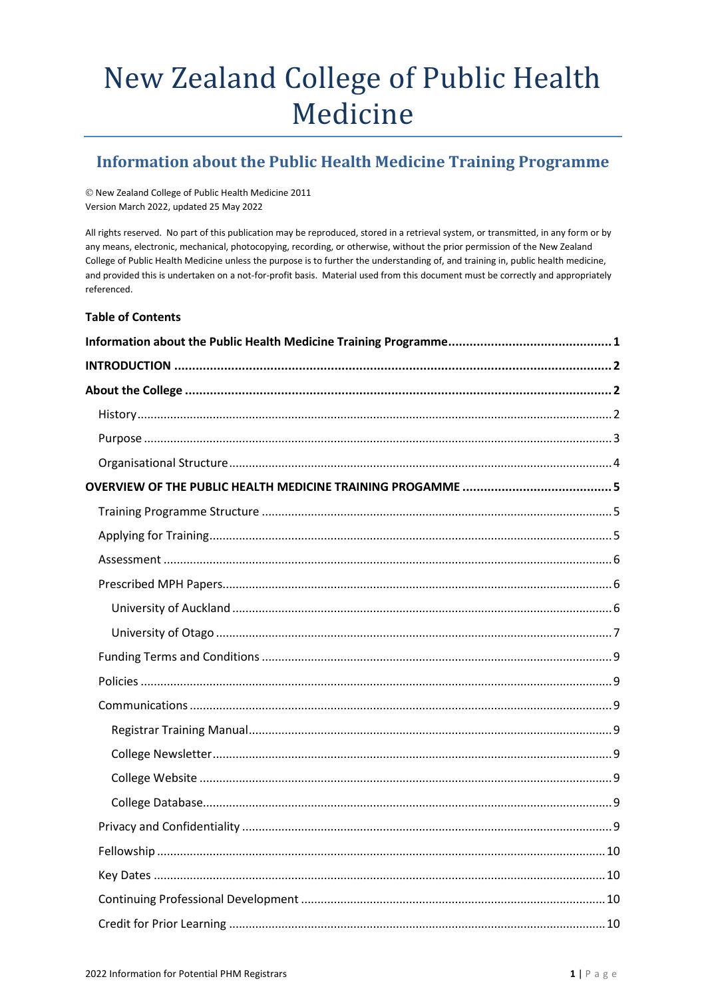# New Zealand College of Public Health Medicine

# <span id="page-0-0"></span>**Information about the Public Health Medicine Training Programme**

© New Zealand College of Public Health Medicine 2011 Version March 2022, updated 25 May 2022

All rights reserved. No part of this publication may be reproduced, stored in a retrieval system, or transmitted, in any form or by any means, electronic, mechanical, photocopying, recording, or otherwise, without the prior permission of the New Zealand College of Public Health Medicine unless the purpose is to further the understanding of, and training in, public health medicine, and provided this is undertaken on a not-for-profit basis. Material used from this document must be correctly and appropriately referenced.

#### **Table of Contents**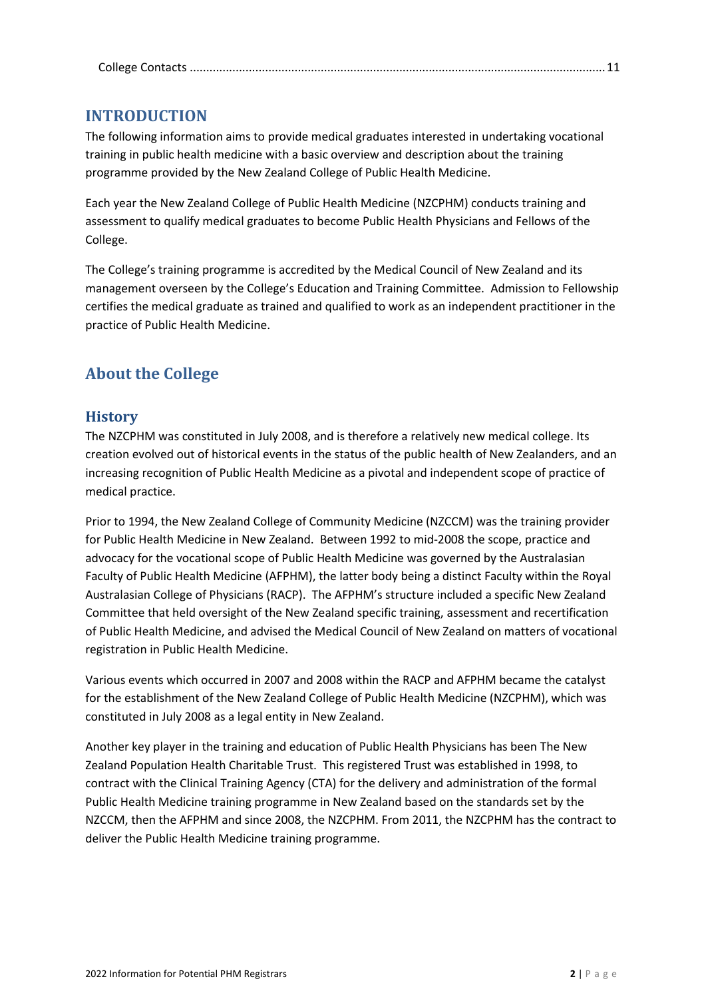|--|

## <span id="page-1-0"></span>**INTRODUCTION**

The following information aims to provide medical graduates interested in undertaking vocational training in public health medicine with a basic overview and description about the training programme provided by the New Zealand College of Public Health Medicine.

Each year the New Zealand College of Public Health Medicine (NZCPHM) conducts training and assessment to qualify medical graduates to become Public Health Physicians and Fellows of the College.

The College's training programme is accredited by the Medical Council of New Zealand and its management overseen by the College's Education and Training Committee. Admission to Fellowship certifies the medical graduate as trained and qualified to work as an independent practitioner in the practice of Public Health Medicine.

# <span id="page-1-2"></span><span id="page-1-1"></span>**About the College**

## **History**

The NZCPHM was constituted in July 2008, and is therefore a relatively new medical college. Its creation evolved out of historical events in the status of the public health of New Zealanders, and an increasing recognition of Public Health Medicine as a pivotal and independent scope of practice of medical practice.

Prior to 1994, the New Zealand College of Community Medicine (NZCCM) was the training provider for Public Health Medicine in New Zealand. Between 1992 to mid-2008 the scope, practice and advocacy for the vocational scope of Public Health Medicine was governed by the Australasian Faculty of Public Health Medicine (AFPHM), the latter body being a distinct Faculty within the Royal Australasian College of Physicians (RACP). The AFPHM's structure included a specific New Zealand Committee that held oversight of the New Zealand specific training, assessment and recertification of Public Health Medicine, and advised the Medical Council of New Zealand on matters of vocational registration in Public Health Medicine.

Various events which occurred in 2007 and 2008 within the RACP and AFPHM became the catalyst for the establishment of the New Zealand College of Public Health Medicine (NZCPHM), which was constituted in July 2008 as a legal entity in New Zealand.

Another key player in the training and education of Public Health Physicians has been The New Zealand Population Health Charitable Trust. This registered Trust was established in 1998, to contract with the Clinical Training Agency (CTA) for the delivery and administration of the formal Public Health Medicine training programme in New Zealand based on the standards set by the NZCCM, then the AFPHM and since 2008, the NZCPHM. From 2011, the NZCPHM has the contract to deliver the Public Health Medicine training programme.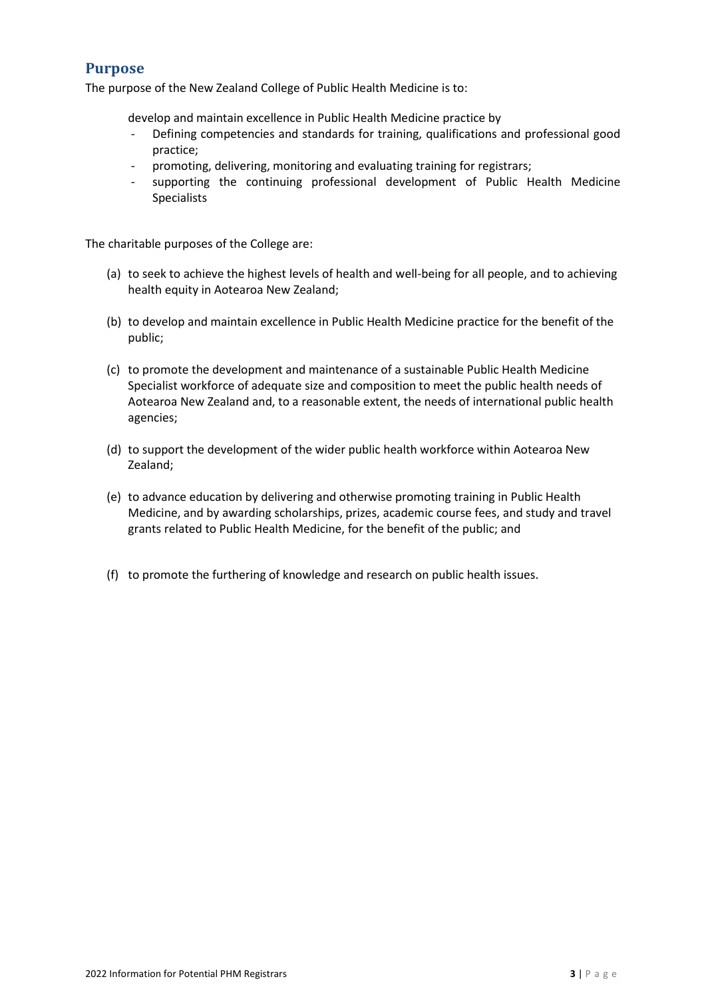## <span id="page-2-0"></span>**Purpose**

The purpose of the New Zealand College of Public Health Medicine is to:

develop and maintain excellence in Public Health Medicine practice by

- Defining competencies and standards for training, qualifications and professional good practice;
- promoting, delivering, monitoring and evaluating training for registrars;
- supporting the continuing professional development of Public Health Medicine Specialists

The charitable purposes of the College are:

- (a) to seek to achieve the highest levels of health and well-being for all people, and to achieving health equity in Aotearoa New Zealand;
- (b) to develop and maintain excellence in Public Health Medicine practice for the benefit of the public;
- (c) to promote the development and maintenance of a sustainable Public Health Medicine Specialist workforce of adequate size and composition to meet the public health needs of Aotearoa New Zealand and, to a reasonable extent, the needs of international public health agencies;
- (d) to support the development of the wider public health workforce within Aotearoa New Zealand;
- (e) to advance education by delivering and otherwise promoting training in Public Health Medicine, and by awarding scholarships, prizes, academic course fees, and study and travel grants related to Public Health Medicine, for the benefit of the public; and
- (f) to promote the furthering of knowledge and research on public health issues.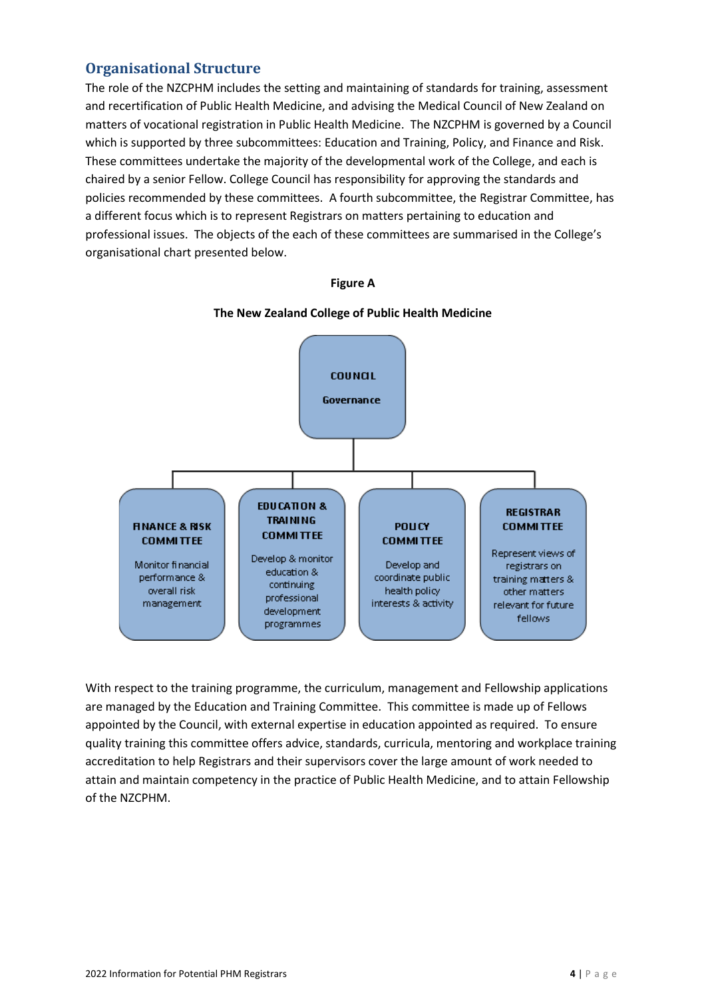## <span id="page-3-0"></span>**Organisational Structure**

The role of the NZCPHM includes the setting and maintaining of standards for training, assessment and recertification of Public Health Medicine, and advising the Medical Council of New Zealand on matters of vocational registration in Public Health Medicine. The NZCPHM is governed by a Council which is supported by three subcommittees: Education and Training, Policy, and Finance and Risk. These committees undertake the majority of the developmental work of the College, and each is chaired by a senior Fellow. College Council has responsibility for approving the standards and policies recommended by these committees. A fourth subcommittee, the Registrar Committee, has a different focus which is to represent Registrars on matters pertaining to education and professional issues. The objects of the each of these committees are summarised in the College's organisational chart presented below.

#### **Figure A**



#### **The New Zealand College of Public Health Medicine**

With respect to the training programme, the curriculum, management and Fellowship applications are managed by the Education and Training Committee. This committee is made up of Fellows appointed by the Council, with external expertise in education appointed as required. To ensure quality training this committee offers advice, standards, curricula, mentoring and workplace training accreditation to help Registrars and their supervisors cover the large amount of work needed to attain and maintain competency in the practice of Public Health Medicine, and to attain Fellowship of the NZCPHM.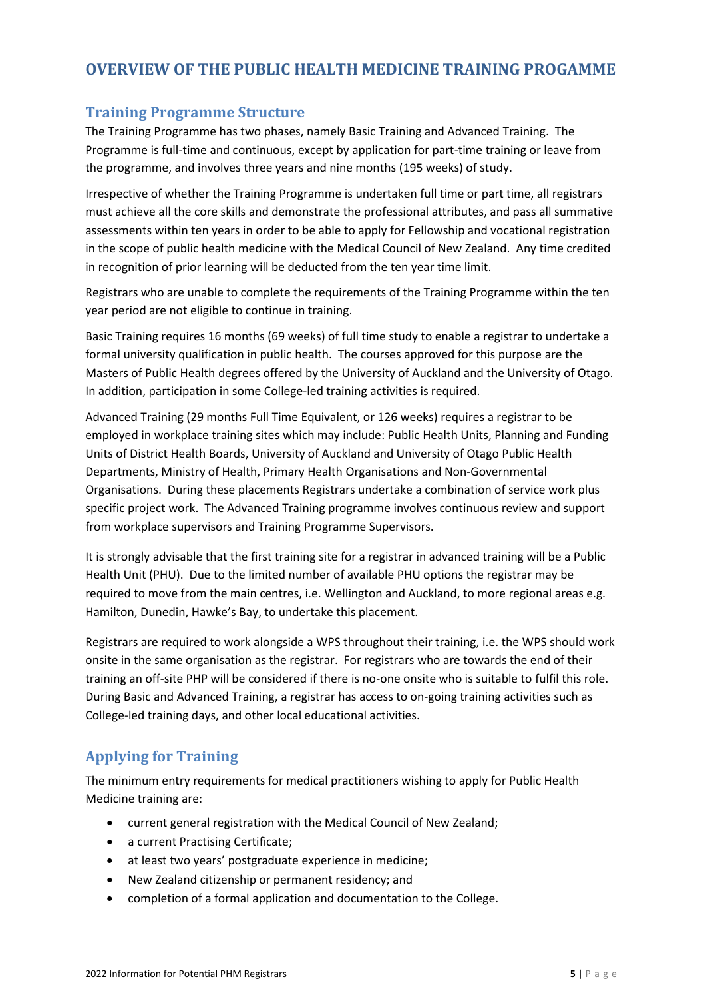# <span id="page-4-1"></span><span id="page-4-0"></span>**OVERVIEW OF THE PUBLIC HEALTH MEDICINE TRAINING PROGAMME**

## **Training Programme Structure**

The Training Programme has two phases, namely Basic Training and Advanced Training. The Programme is full-time and continuous, except by application for part-time training or leave from the programme, and involves three years and nine months (195 weeks) of study.

Irrespective of whether the Training Programme is undertaken full time or part time, all registrars must achieve all the core skills and demonstrate the professional attributes, and pass all summative assessments within ten years in order to be able to apply for Fellowship and vocational registration in the scope of public health medicine with the Medical Council of New Zealand. Any time credited in recognition of prior learning will be deducted from the ten year time limit.

Registrars who are unable to complete the requirements of the Training Programme within the ten year period are not eligible to continue in training.

Basic Training requires 16 months (69 weeks) of full time study to enable a registrar to undertake a formal university qualification in public health. The courses approved for this purpose are the Masters of Public Health degrees offered by the University of Auckland and the University of Otago. In addition, participation in some College-led training activities is required.

Advanced Training (29 months Full Time Equivalent, or 126 weeks) requires a registrar to be employed in workplace training sites which may include: Public Health Units, Planning and Funding Units of District Health Boards, University of Auckland and University of Otago Public Health Departments, Ministry of Health, Primary Health Organisations and Non-Governmental Organisations. During these placements Registrars undertake a combination of service work plus specific project work. The Advanced Training programme involves continuous review and support from workplace supervisors and Training Programme Supervisors.

It is strongly advisable that the first training site for a registrar in advanced training will be a Public Health Unit (PHU). Due to the limited number of available PHU options the registrar may be required to move from the main centres, i.e. Wellington and Auckland, to more regional areas e.g. Hamilton, Dunedin, Hawke's Bay, to undertake this placement.

Registrars are required to work alongside a WPS throughout their training, i.e. the WPS should work onsite in the same organisation as the registrar. For registrars who are towards the end of their training an off-site PHP will be considered if there is no-one onsite who is suitable to fulfil this role. During Basic and Advanced Training, a registrar has access to on-going training activities such as College-led training days, and other local educational activities.

## <span id="page-4-2"></span>**Applying for Training**

The minimum entry requirements for medical practitioners wishing to apply for Public Health Medicine training are:

- current general registration with the Medical Council of New Zealand;
- a current Practising Certificate;
- at least two years' postgraduate experience in medicine;
- New Zealand citizenship or permanent residency; and
- completion of a formal application and documentation to the College.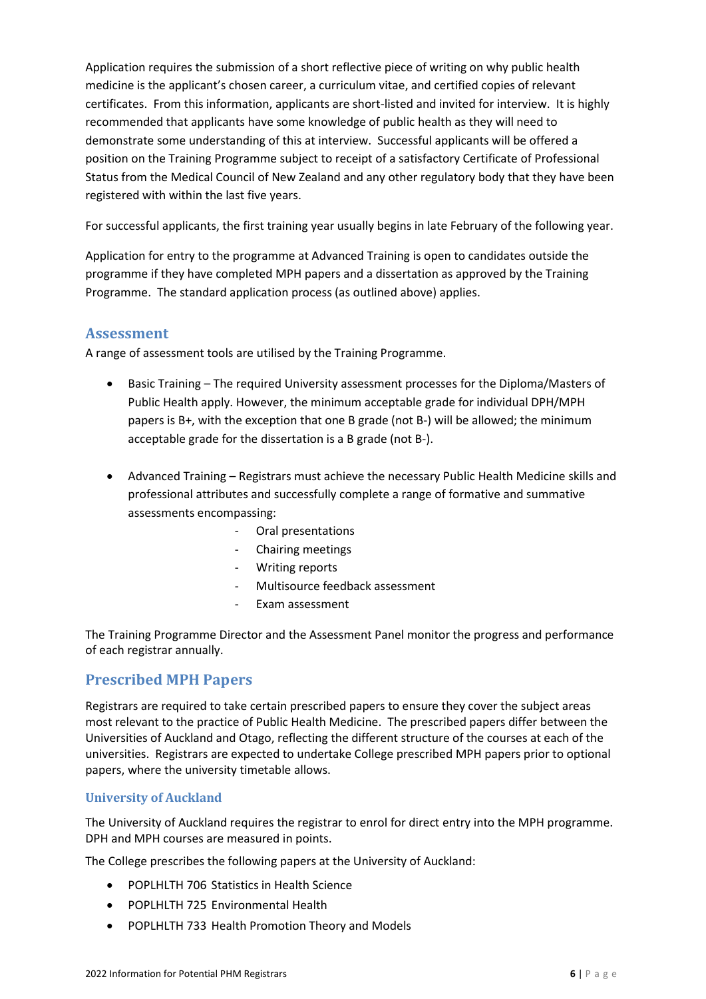Application requires the submission of a short reflective piece of writing on why public health medicine is the applicant's chosen career, a curriculum vitae, and certified copies of relevant certificates. From this information, applicants are short-listed and invited for interview. It is highly recommended that applicants have some knowledge of public health as they will need to demonstrate some understanding of this at interview. Successful applicants will be offered a position on the Training Programme subject to receipt of a satisfactory Certificate of Professional Status from the Medical Council of New Zealand and any other regulatory body that they have been registered with within the last five years.

For successful applicants, the first training year usually begins in late February of the following year.

Application for entry to the programme at Advanced Training is open to candidates outside the programme if they have completed MPH papers and a dissertation as approved by the Training Programme. The standard application process (as outlined above) applies.

## <span id="page-5-0"></span>**Assessment**

A range of assessment tools are utilised by the Training Programme.

- Basic Training The required University assessment processes for the Diploma/Masters of Public Health apply. However, the minimum acceptable grade for individual DPH/MPH papers is B+, with the exception that one B grade (not B-) will be allowed; the minimum acceptable grade for the dissertation is a B grade (not B-).
- Advanced Training Registrars must achieve the necessary Public Health Medicine skills and professional attributes and successfully complete a range of formative and summative assessments encompassing:
	- Oral presentations
	- Chairing meetings
	- Writing reports
	- Multisource feedback assessment
	- Exam assessment

The Training Programme Director and the Assessment Panel monitor the progress and performance of each registrar annually.

## <span id="page-5-1"></span>**Prescribed MPH Papers**

Registrars are required to take certain prescribed papers to ensure they cover the subject areas most relevant to the practice of Public Health Medicine. The prescribed papers differ between the Universities of Auckland and Otago, reflecting the different structure of the courses at each of the universities. Registrars are expected to undertake College prescribed MPH papers prior to optional papers, where the university timetable allows.

#### <span id="page-5-2"></span>**University of Auckland**

The University of Auckland requires the registrar to enrol for direct entry into the MPH programme. DPH and MPH courses are measured in points.

The College prescribes the following papers at the University of Auckland:

- POPLHLTH 706 Statistics in Health Science
- POPLHLTH 725 Environmental Health
- POPLHLTH 733 Health Promotion Theory and Models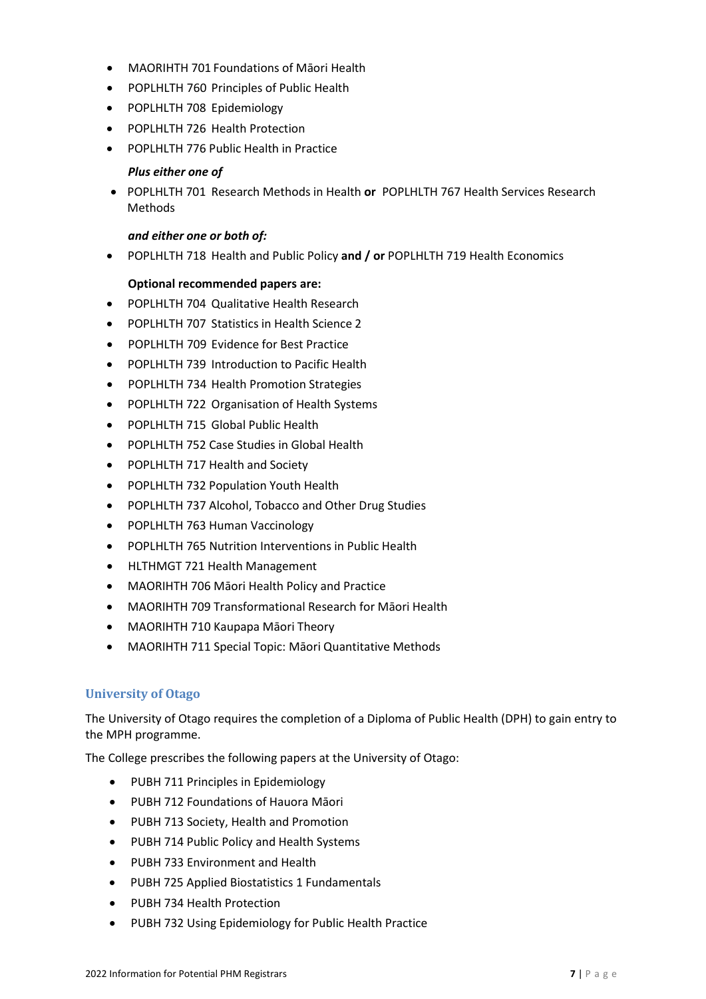- MAORIHTH 701 Foundations of Māori Health
- POPLHLTH 760 Principles of Public Health
- POPLHLTH 708 Epidemiology
- POPLHLTH 726 Health Protection
- POPLHLTH 776 Public Health in Practice

#### *Plus either one of*

• POPLHLTH 701 Research Methods in Health **or** POPLHLTH 767 Health Services Research Methods

#### *and either one or both of:*

• POPLHLTH 718 Health and Public Policy **and / or** POPLHLTH 719 Health Economics

#### **Optional recommended papers are:**

- <span id="page-6-0"></span>• POPLHLTH 704 Qualitative Health Research
- POPLHLTH 707 Statistics in Health Science 2
- POPLHLTH 709 Evidence for Best Practice
- POPLHLTH 739 Introduction to Pacific Health
- POPLHLTH 734 Health Promotion Strategies
- POPLHLTH 722 Organisation of Health Systems
- POPLHLTH 715 Global Public Health
- POPLHLTH 752 Case Studies in Global Health
- POPLHLTH 717 Health and Society
- POPLHLTH 732 Population Youth Health
- POPLHLTH 737 Alcohol, Tobacco and Other Drug Studies
- POPLHLTH 763 Human Vaccinology
- POPLHLTH 765 Nutrition Interventions in Public Health
- HLTHMGT 721 Health Management
- MAORIHTH 706 Māori Health Policy and Practice
- MAORIHTH 709 Transformational Research for Māori Health
- MAORIHTH 710 Kaupapa Māori Theory
- MAORIHTH 711 Special Topic: Māori Quantitative Methods

#### **University of Otago**

The University of Otago requires the completion of a Diploma of Public Health (DPH) to gain entry to the MPH programme.

The College prescribes the following papers at the University of Otago:

- PUBH 711 Principles in Epidemiology
- PUBH 712 Foundations of Hauora Māori
- PUBH 713 Society, Health and Promotion
- PUBH 714 Public Policy and Health Systems
- PUBH 733 Environment and Health
- PUBH 725 Applied Biostatistics 1 Fundamentals
- PUBH 734 Health Protection
- PUBH 732 Using Epidemiology for Public Health Practice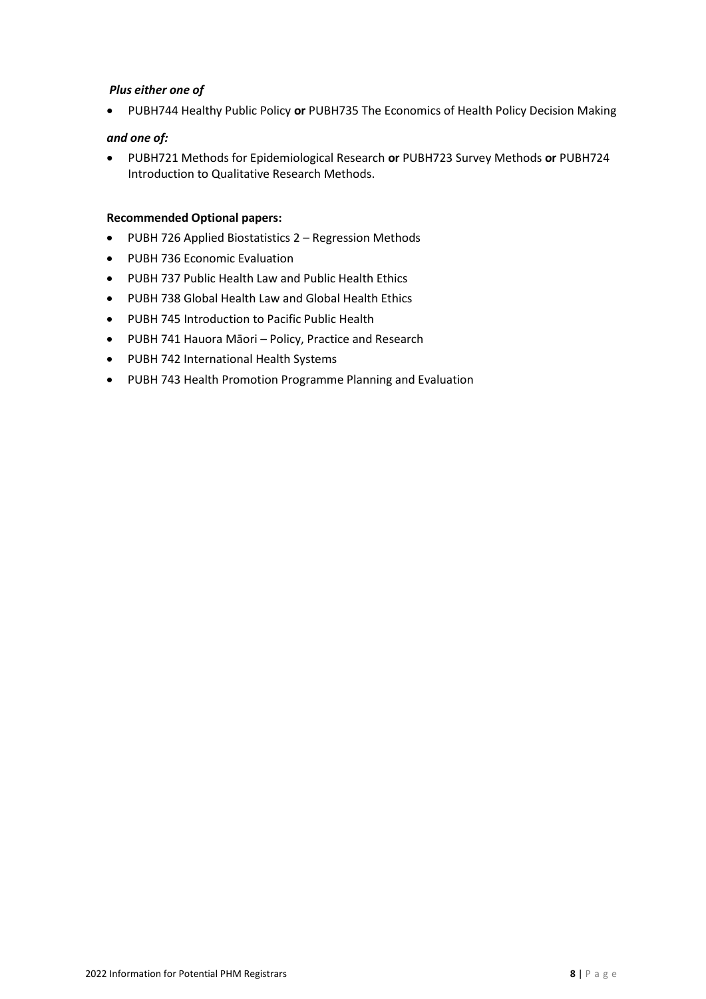#### *Plus either one of*

• PUBH744 Healthy Public Policy **or** PUBH735 The Economics of Health Policy Decision Making

#### *and one of:*

• PUBH721 Methods for Epidemiological Research **or** PUBH723 Survey Methods **or** PUBH724 Introduction to Qualitative Research Methods.

#### **Recommended Optional papers:**

- PUBH 726 Applied Biostatistics 2 Regression Methods
- PUBH 736 Economic Evaluation
- PUBH 737 Public Health Law and Public Health Ethics
- PUBH 738 Global Health Law and Global Health Ethics
- PUBH 745 Introduction to Pacific Public Health
- PUBH 741 Hauora Māori Policy, Practice and Research
- PUBH 742 International Health Systems
- PUBH 743 Health Promotion Programme Planning and Evaluation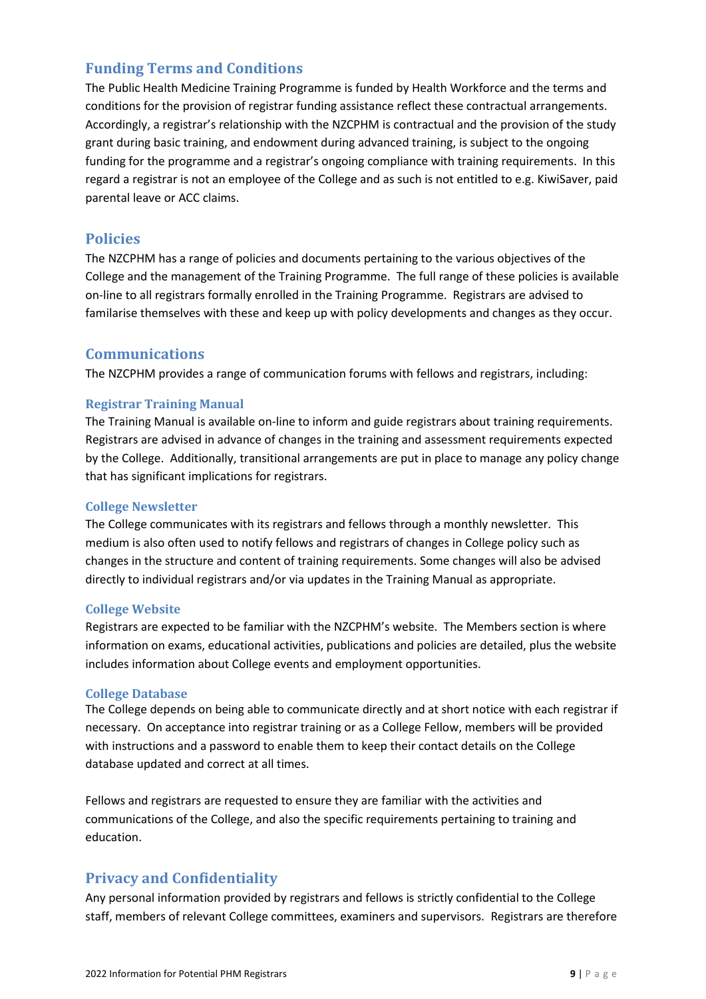## <span id="page-8-0"></span>**Funding Terms and Conditions**

The Public Health Medicine Training Programme is funded by Health Workforce and the terms and conditions for the provision of registrar funding assistance reflect these contractual arrangements. Accordingly, a registrar's relationship with the NZCPHM is contractual and the provision of the study grant during basic training, and endowment during advanced training, is subject to the ongoing funding for the programme and a registrar's ongoing compliance with training requirements. In this regard a registrar is not an employee of the College and as such is not entitled to e.g. KiwiSaver, paid parental leave or ACC claims.

## <span id="page-8-1"></span>**Policies**

The NZCPHM has a range of policies and documents pertaining to the various objectives of the College and the management of the Training Programme. The full range of these policies is available on-line to all registrars formally enrolled in the Training Programme. Registrars are advised to familarise themselves with these and keep up with policy developments and changes as they occur.

## <span id="page-8-2"></span>**Communications**

The NZCPHM provides a range of communication forums with fellows and registrars, including:

#### <span id="page-8-3"></span>**Registrar Training Manual**

The Training Manual is available on-line to inform and guide registrars about training requirements. Registrars are advised in advance of changes in the training and assessment requirements expected by the College. Additionally, transitional arrangements are put in place to manage any policy change that has significant implications for registrars.

#### <span id="page-8-4"></span>**College Newsletter**

The College communicates with its registrars and fellows through a monthly newsletter. This medium is also often used to notify fellows and registrars of changes in College policy such as changes in the structure and content of training requirements. Some changes will also be advised directly to individual registrars and/or via updates in the Training Manual as appropriate.

#### <span id="page-8-5"></span>**College Website**

Registrars are expected to be familiar with the NZCPHM's website. The Members section is where information on exams, educational activities, publications and policies are detailed, plus the website includes information about College events and employment opportunities.

#### <span id="page-8-6"></span>**College Database**

The College depends on being able to communicate directly and at short notice with each registrar if necessary. On acceptance into registrar training or as a College Fellow, members will be provided with instructions and a password to enable them to keep their contact details on the College database updated and correct at all times.

Fellows and registrars are requested to ensure they are familiar with the activities and communications of the College, and also the specific requirements pertaining to training and education.

## <span id="page-8-7"></span>**Privacy and Confidentiality**

Any personal information provided by registrars and fellows is strictly confidential to the College staff, members of relevant College committees, examiners and supervisors. Registrars are therefore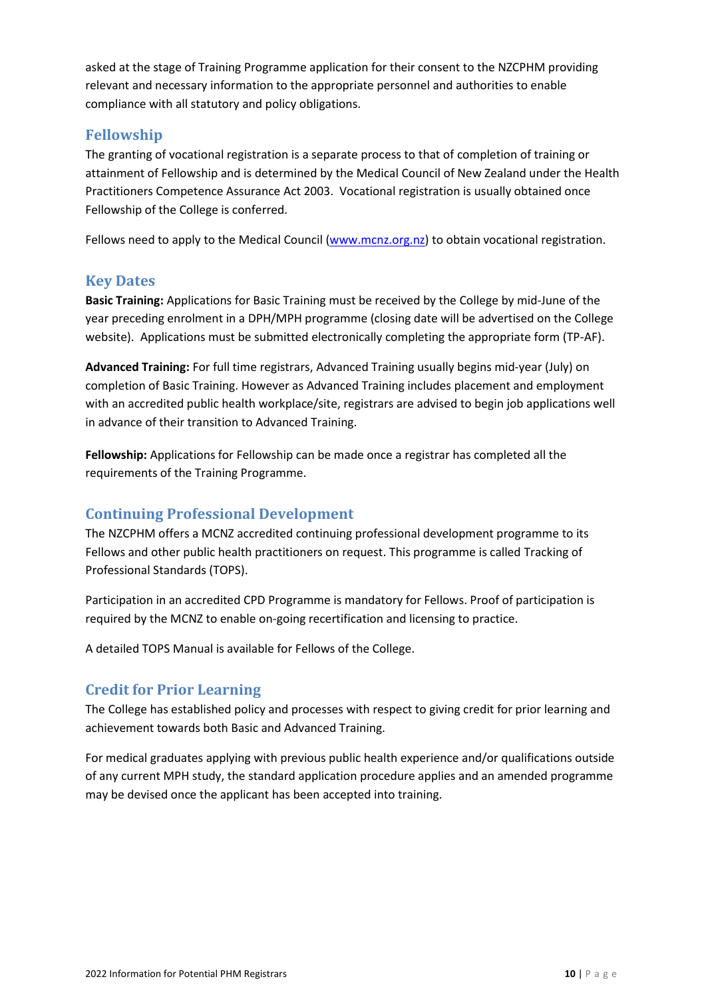asked at the stage of Training Programme application for their consent to the NZCPHM providing relevant and necessary information to the appropriate personnel and authorities to enable compliance with all statutory and policy obligations.

## <span id="page-9-0"></span>**Fellowship**

The granting of vocational registration is a separate process to that of completion of training or attainment of Fellowship and is determined by the Medical Council of New Zealand under the Health Practitioners Competence Assurance Act 2003. Vocational registration is usually obtained once Fellowship of the College is conferred.

Fellows need to apply to the Medical Council [\(www.mcnz.org.nz\)](http://www.mcnz.org.nz/) to obtain vocational registration.

### <span id="page-9-1"></span>**Key Dates**

**Basic Training:** Applications for Basic Training must be received by the College by mid-June of the year preceding enrolment in a DPH/MPH programme (closing date will be advertised on the College website). Applications must be submitted electronically completing the appropriate form (TP-AF).

**Advanced Training:** For full time registrars, Advanced Training usually begins mid-year (July) on completion of Basic Training. However as Advanced Training includes placement and employment with an accredited public health workplace/site, registrars are advised to begin job applications well in advance of their transition to Advanced Training.

**Fellowship:** Applications for Fellowship can be made once a registrar has completed all the requirements of the Training Programme.

## <span id="page-9-2"></span>**Continuing Professional Development**

The NZCPHM offers a MCNZ accredited continuing professional development programme to its Fellows and other public health practitioners on request. This programme is called Tracking of Professional Standards (TOPS).

Participation in an accredited CPD Programme is mandatory for Fellows. Proof of participation is required by the MCNZ to enable on-going recertification and licensing to practice.

A detailed TOPS Manual is available for Fellows of the College.

## <span id="page-9-3"></span>**Credit for Prior Learning**

The College has established policy and processes with respect to giving credit for prior learning and achievement towards both Basic and Advanced Training.

For medical graduates applying with previous public health experience and/or qualifications outside of any current MPH study, the standard application procedure applies and an amended programme may be devised once the applicant has been accepted into training.